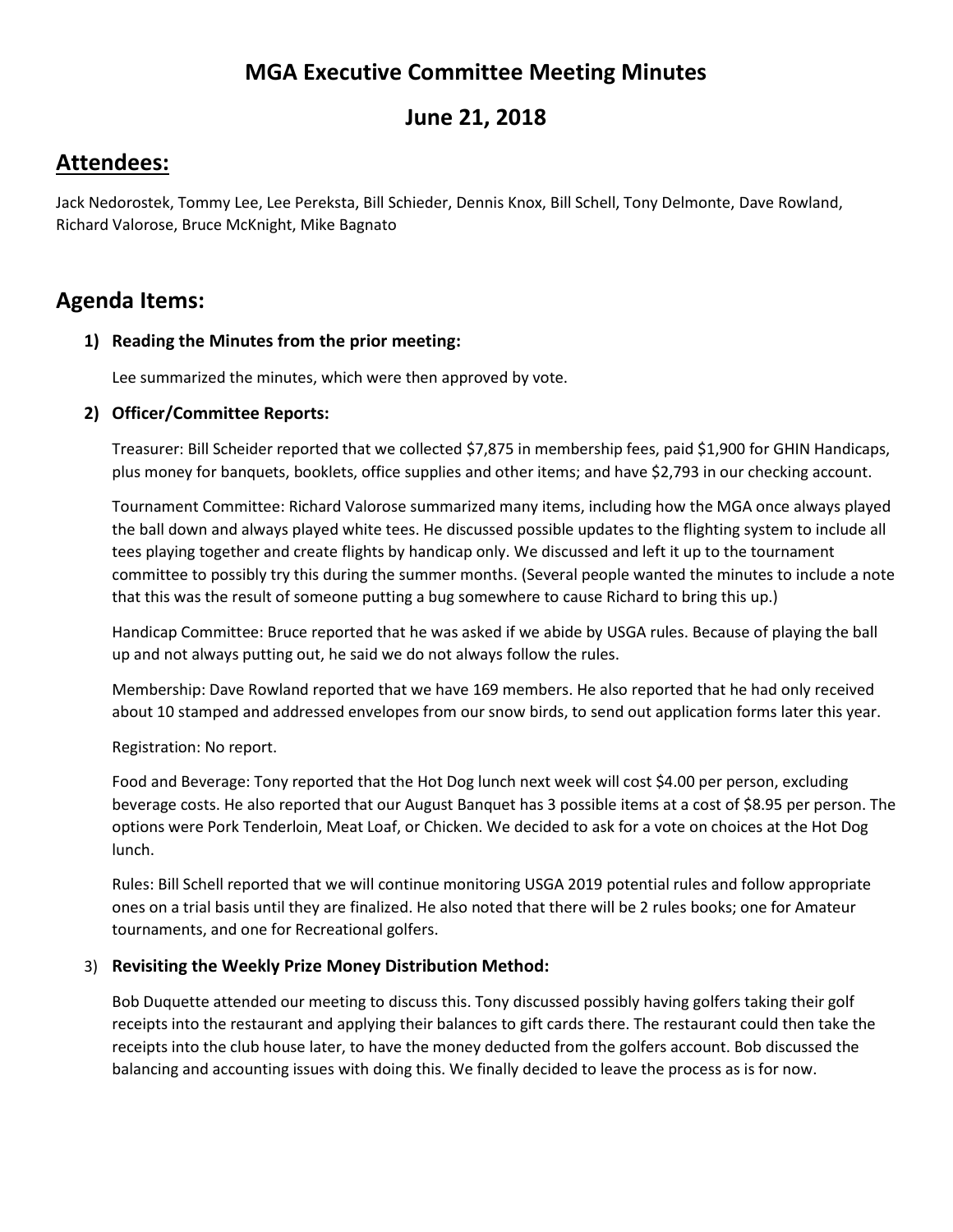# **MGA Executive Committee Meeting Minutes**

## **June 21, 2018**

## **Attendees:**

Jack Nedorostek, Tommy Lee, Lee Pereksta, Bill Schieder, Dennis Knox, Bill Schell, Tony Delmonte, Dave Rowland, Richard Valorose, Bruce McKnight, Mike Bagnato

## **Agenda Items:**

## **1) Reading the Minutes from the prior meeting:**

Lee summarized the minutes, which were then approved by vote.

## **2) Officer/Committee Reports:**

Treasurer: Bill Scheider reported that we collected \$7,875 in membership fees, paid \$1,900 for GHIN Handicaps, plus money for banquets, booklets, office supplies and other items; and have \$2,793 in our checking account.

Tournament Committee: Richard Valorose summarized many items, including how the MGA once always played the ball down and always played white tees. He discussed possible updates to the flighting system to include all tees playing together and create flights by handicap only. We discussed and left it up to the tournament committee to possibly try this during the summer months. (Several people wanted the minutes to include a note that this was the result of someone putting a bug somewhere to cause Richard to bring this up.)

Handicap Committee: Bruce reported that he was asked if we abide by USGA rules. Because of playing the ball up and not always putting out, he said we do not always follow the rules.

Membership: Dave Rowland reported that we have 169 members. He also reported that he had only received about 10 stamped and addressed envelopes from our snow birds, to send out application forms later this year.

Registration: No report.

Food and Beverage: Tony reported that the Hot Dog lunch next week will cost \$4.00 per person, excluding beverage costs. He also reported that our August Banquet has 3 possible items at a cost of \$8.95 per person. The options were Pork Tenderloin, Meat Loaf, or Chicken. We decided to ask for a vote on choices at the Hot Dog lunch.

Rules: Bill Schell reported that we will continue monitoring USGA 2019 potential rules and follow appropriate ones on a trial basis until they are finalized. He also noted that there will be 2 rules books; one for Amateur tournaments, and one for Recreational golfers.

## 3) **Revisiting the Weekly Prize Money Distribution Method:**

Bob Duquette attended our meeting to discuss this. Tony discussed possibly having golfers taking their golf receipts into the restaurant and applying their balances to gift cards there. The restaurant could then take the receipts into the club house later, to have the money deducted from the golfers account. Bob discussed the balancing and accounting issues with doing this. We finally decided to leave the process as is for now.